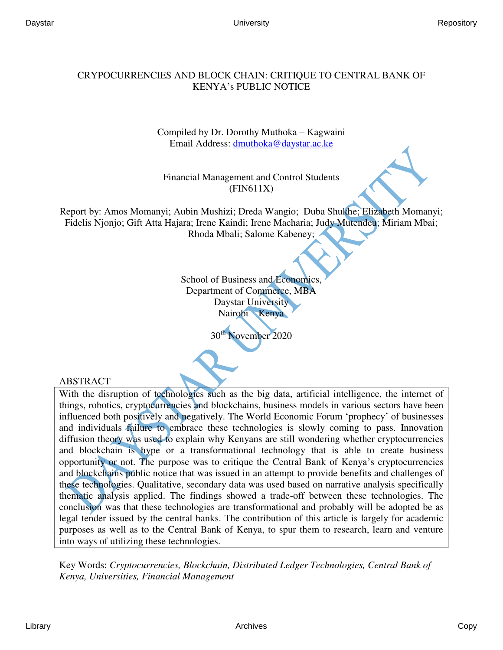## CRYPOCURRENCIES AND BLOCK CHAIN: CRITIQUE TO CENTRAL BANK OF KENYA's PUBLIC NOTICE

Compiled by Dr. Dorothy Muthoka – Kagwaini Email Address: [dmuthoka@daystar.ac.ke](mailto:dmuthoka@daystar.ac.ke) 

Financial Management and Control Students (FIN611X)

Report by: Amos Momanyi; Aubin Mushizi; Dreda Wangio; Duba Shukhe; Elizabeth Momanyi; Fidelis Njonjo; Gift Atta Hajara; Irene Kaindi; Irene Macharia; Judy Mutendeu; Miriam Mbai; Rhoda Mbali; Salome Kabeney;

> School of Business and Economics, Department of Commerce, MBA Daystar University Nairobi – Kenya

> > November 2020

## ABSTRACT

With the disruption of technologies such as the big data, artificial intelligence, the internet of things, robotics, cryptocurrencies and blockchains, business models in various sectors have been influenced both positively and negatively. The World Economic Forum 'prophecy' of businesses and individuals failure to embrace these technologies is slowly coming to pass. Innovation diffusion theory was used to explain why Kenyans are still wondering whether cryptocurrencies and blockchain is hype or a transformational technology that is able to create business opportunity or not. The purpose was to critique the Central Bank of Kenya's cryptocurrencies and blockchains public notice that was issued in an attempt to provide benefits and challenges of these technologies. Qualitative, secondary data was used based on narrative analysis specifically thematic analysis applied. The findings showed a trade-off between these technologies. The conclusion was that these technologies are transformational and probably will be adopted be as legal tender issued by the central banks. The contribution of this article is largely for academic purposes as well as to the Central Bank of Kenya, to spur them to research, learn and venture into ways of utilizing these technologies.

Key Words: *Cryptocurrencies, Blockchain, Distributed Ledger Technologies, Central Bank of Kenya, Universities, Financial Management*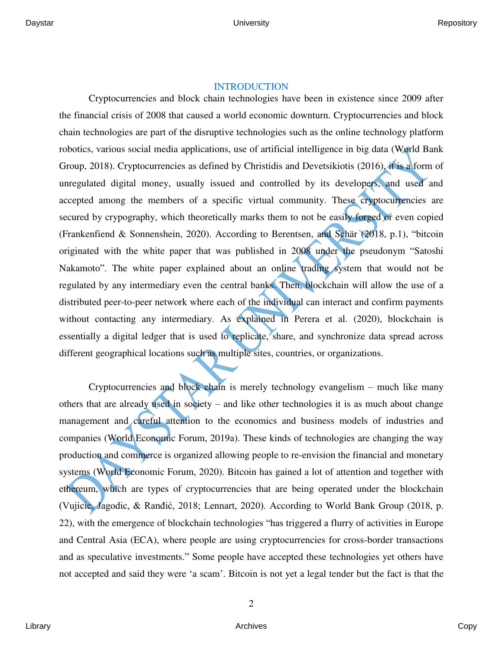## INTRODUCTION

Cryptocurrencies and block chain technologies have been in existence since 2009 after the financial crisis of 2008 that caused a world economic downturn. Cryptocurrencies and block chain technologies are part of the disruptive technologies such as the online technology platform robotics, various social media applications, use of artificial intelligence in big data (World Bank Group, 2018). Cryptocurrencies as defined by Christidis and Devetsikiotis (2016), it is a form of unregulated digital money, usually issued and controlled by its developers, and used and accepted among the members of a specific virtual community. These cryptocurrencies are secured by crypography, which theoretically marks them to not be easily forged or even copied (Frankenfiend & Sonnenshein, 2020). According to Berentsen, and Schär (2018, p.1), "bitcoin originated with the white paper that was published in 2008 under the pseudonym "Satoshi Nakamoto". The white paper explained about an online trading system that would not be regulated by any intermediary even the central banks. Then, blockchain will allow the use of a distributed peer-to-peer network where each of the individual can interact and confirm payments without contacting any intermediary. As explained in Perera et al. (2020), blockchain is essentially a digital ledger that is used to replicate, share, and synchronize data spread across different geographical locations such as multiple sites, countries, or organizations.

Cryptocurrencies and block chain is merely technology evangelism – much like many others that are already used in society – and like other technologies it is as much about change management and careful attention to the economics and business models of industries and companies (World Economic Forum, 2019a). These kinds of technologies are changing the way production and commerce is organized allowing people to re-envision the financial and monetary systems (World Economic Forum, 2020). Bitcoin has gained a lot of attention and together with ethereum, which are types of cryptocurrencies that are being operated under the blockchain (Vujicic, Jagodic, & Ranđić, 2018; Lennart, 2020). According to World Bank Group (2018, p. 22), with the emergence of blockchain technologies "has triggered a flurry of activities in Europe and Central Asia (ECA), where people are using cryptocurrencies for cross-border transactions and as speculative investments." Some people have accepted these technologies yet others have not accepted and said they were 'a scam'. Bitcoin is not yet a legal tender but the fact is that the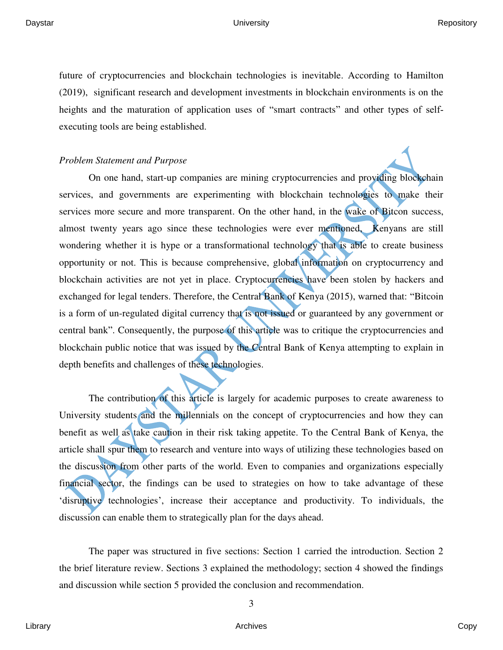future of cryptocurrencies and blockchain technologies is inevitable. According to Hamilton (2019), significant research and development investments in blockchain environments is on the heights and the maturation of application uses of "smart contracts" and other types of selfexecuting tools are being established.

## *Problem Statement and Purpose*

On one hand, start-up companies are mining cryptocurrencies and providing blockchain services, and governments are experimenting with blockchain technologies to make their services more secure and more transparent. On the other hand, in the wake of Bitcon success, almost twenty years ago since these technologies were ever mentioned, Kenyans are still wondering whether it is hype or a transformational technology that is able to create business opportunity or not. This is because comprehensive, global information on cryptocurrency and blockchain activities are not yet in place. Cryptocurrencies have been stolen by hackers and exchanged for legal tenders. Therefore, the Central Bank of Kenya (2015), warned that: "Bitcoin is a form of un-regulated digital currency that is not issued or guaranteed by any government or central bank". Consequently, the purpose of this article was to critique the cryptocurrencies and blockchain public notice that was issued by the Central Bank of Kenya attempting to explain in depth benefits and challenges of these technologies.

The contribution of this article is largely for academic purposes to create awareness to University students and the millennials on the concept of cryptocurrencies and how they can benefit as well as take caution in their risk taking appetite. To the Central Bank of Kenya, the article shall spur them to research and venture into ways of utilizing these technologies based on the discussion from other parts of the world. Even to companies and organizations especially financial sector, the findings can be used to strategies on how to take advantage of these 'disruptive technologies', increase their acceptance and productivity. To individuals, the discussion can enable them to strategically plan for the days ahead.

The paper was structured in five sections: Section 1 carried the introduction. Section 2 the brief literature review. Sections 3 explained the methodology; section 4 showed the findings and discussion while section 5 provided the conclusion and recommendation.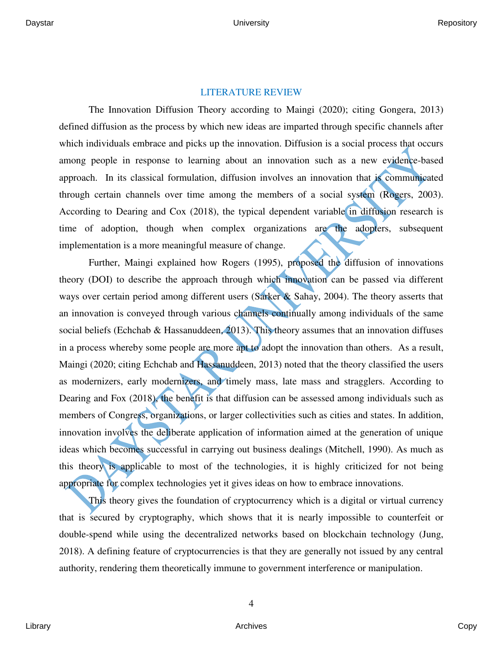## LITERATURE REVIEW

The Innovation Diffusion Theory according to Maingi (2020); citing Gongera, 2013) defined diffusion as the process by which new ideas are imparted through specific channels after which individuals embrace and picks up the innovation. Diffusion is a social process that occurs among people in response to learning about an innovation such as a new evidence-based approach. In its classical formulation, diffusion involves an innovation that is communicated through certain channels over time among the members of a social system (Rogers, 2003). According to Dearing and Cox (2018), the typical dependent variable in diffusion research is time of adoption, though when complex organizations are the adopters, subsequent implementation is a more meaningful measure of change.

Further, Maingi explained how Rogers (1995), proposed the diffusion of innovations theory (DOI) to describe the approach through which innovation can be passed via different ways over certain period among different users (Sarker & Sahay, 2004). The theory asserts that an innovation is conveyed through various channels continually among individuals of the same social beliefs (Echchab & Hassanuddeen, 2013). This theory assumes that an innovation diffuses in a process whereby some people are more apt to adopt the innovation than others. As a result, Maingi (2020; citing Echchab and Hassanuddeen, 2013) noted that the theory classified the users as modernizers, early modernizers, and timely mass, late mass and stragglers. According to Dearing and Fox (2018), the benefit is that diffusion can be assessed among individuals such as members of Congress, organizations, or larger collectivities such as cities and states. In addition, innovation involves the deliberate application of information aimed at the generation of unique ideas which becomes successful in carrying out business dealings (Mitchell, 1990). As much as this theory is applicable to most of the technologies, it is highly criticized for not being appropriate for complex technologies yet it gives ideas on how to embrace innovations.

This theory gives the foundation of cryptocurrency which is a digital or virtual currency that is secured by cryptography, which shows that it is nearly impossible to counterfeit or double-spend while using the decentralized networks based on blockchain technology (Jung, 2018). A defining feature of cryptocurrencies is that they are generally not issued by any central authority, rendering them theoretically immune to government interference or manipulation.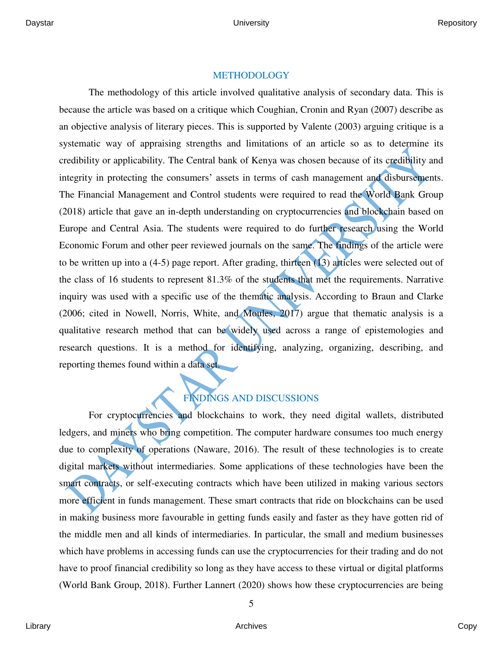## METHODOLOGY

The methodology of this article involved qualitative analysis of secondary data. This is because the article was based on a critique which Coughian, Cronin and Ryan (2007) describe as an objective analysis of literary pieces. This is supported by Valente (2003) arguing critique is a systematic way of appraising strengths and limitations of an article so as to determine its credibility or applicability. The Central bank of Kenya was chosen because of its credibility and integrity in protecting the consumers' assets in terms of cash management and disbursements. The Financial Management and Control students were required to read the World Bank Group (2018) article that gave an in-depth understanding on cryptocurrencies and blockchain based on Europe and Central Asia. The students were required to do further research using the World Economic Forum and other peer reviewed journals on the same. The findings of the article were to be written up into a  $(4-5)$  page report. After grading, thirteen  $(13)$  articles were selected out of the class of 16 students to represent 81.3% of the students that met the requirements. Narrative inquiry was used with a specific use of the thematic analysis. According to Braun and Clarke (2006; cited in Nowell, Norris, White, and Moules, 2017) argue that thematic analysis is a qualitative research method that can be widely used across a range of epistemologies and research questions. It is a method for identifying, analyzing, organizing, describing, and reporting themes found within a data set.

# FINDINGS AND DISCUSSIONS

For cryptocurrencies and blockchains to work, they need digital wallets, distributed ledgers, and miners who bring competition. The computer hardware consumes too much energy due to complexity of operations (Naware, 2016). The result of these technologies is to create digital markets without intermediaries. Some applications of these technologies have been the smart contracts, or self-executing contracts which have been utilized in making various sectors more efficient in funds management. These smart contracts that ride on blockchains can be used in making business more favourable in getting funds easily and faster as they have gotten rid of the middle men and all kinds of intermediaries. In particular, the small and medium businesses which have problems in accessing funds can use the cryptocurrencies for their trading and do not have to proof financial credibility so long as they have access to these virtual or digital platforms (World Bank Group, 2018). Further Lannert (2020) shows how these cryptocurrencies are being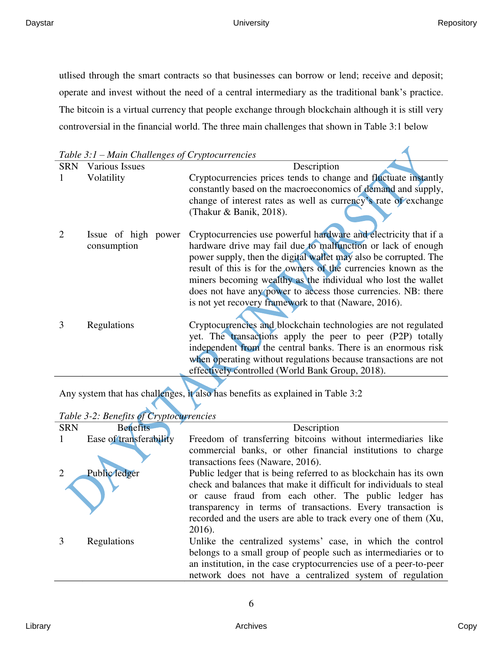$\blacktriangleleft$ 

utlised through the smart contracts so that businesses can borrow or lend; receive and deposit; operate and invest without the need of a central intermediary as the traditional bank's practice. The bitcoin is a virtual currency that people exchange through blockchain although it is still very controversial in the financial world. The three main challenges that shown in Table 3:1 below

| <i>Hadde Chancing cs of Cryphocula Chercis</i> |                     |                                                                  |  |  |
|------------------------------------------------|---------------------|------------------------------------------------------------------|--|--|
| <b>SRN</b>                                     | Various Issues      | Description                                                      |  |  |
|                                                | Volatility          | Cryptocurrencies prices tends to change and fluctuate instantly  |  |  |
|                                                |                     | constantly based on the macroeconomics of demand and supply,     |  |  |
|                                                |                     | change of interest rates as well as currency's rate of exchange  |  |  |
|                                                |                     | (Thakur & Banik, 2018).                                          |  |  |
|                                                |                     |                                                                  |  |  |
|                                                | Issue of high power | Cryptocurrencies use powerful hardware and electricity that if a |  |  |
|                                                | consumption         | hardware drive may fail due to malfunction or lack of enough     |  |  |
|                                                |                     | power supply, then the digital wallet may also be corrupted. The |  |  |
|                                                |                     | result of this is for the owners of the currencies known as the  |  |  |
|                                                |                     | miners becoming wealthy as the individual who lost the wallet    |  |  |
|                                                |                     | does not have any power to access those currencies. NB: there    |  |  |
|                                                |                     | is not yet recovery framework to that (Naware, 2016).            |  |  |
|                                                |                     |                                                                  |  |  |
|                                                | Regulations         | Cryptocurrencies and blockchain technologies are not regulated   |  |  |
|                                                |                     | yet. The transactions apply the peer to peer (P2P) totally       |  |  |
|                                                |                     | independent from the central banks. There is an enormous risk    |  |  |
|                                                |                     | when operating without regulations because transactions are not  |  |  |
|                                                |                     | effectively controlled (World Bank Group, 2018).                 |  |  |
|                                                |                     |                                                                  |  |  |

Any system that has challenges, it also has benefits as explained in Table 3:2

## *Table 3-2: Benefits of Cryptocurrencies*

| <b>SRN</b> | <b>Benefits</b>         | Description                                                                                                                                                                                                                                                             |
|------------|-------------------------|-------------------------------------------------------------------------------------------------------------------------------------------------------------------------------------------------------------------------------------------------------------------------|
|            | Ease of transferability | Freedom of transferring bitcoins without intermediaries like                                                                                                                                                                                                            |
|            |                         | commercial banks, or other financial institutions to charge<br>transactions fees (Naware, 2016).                                                                                                                                                                        |
|            | Public ledger           | Public ledger that is being referred to as blockchain has its own                                                                                                                                                                                                       |
|            |                         | check and balances that make it difficult for individuals to steal<br>or cause fraud from each other. The public ledger has<br>transparency in terms of transactions. Every transaction is<br>recorded and the users are able to track every one of them (Xu,<br>2016). |
|            | Regulations             | Unlike the centralized systems' case, in which the control                                                                                                                                                                                                              |
|            |                         | belongs to a small group of people such as intermediaries or to                                                                                                                                                                                                         |
|            |                         | an institution, in the case cryptocurrencies use of a peer-to-peer                                                                                                                                                                                                      |
|            |                         | network does not have a centralized system of regulation                                                                                                                                                                                                                |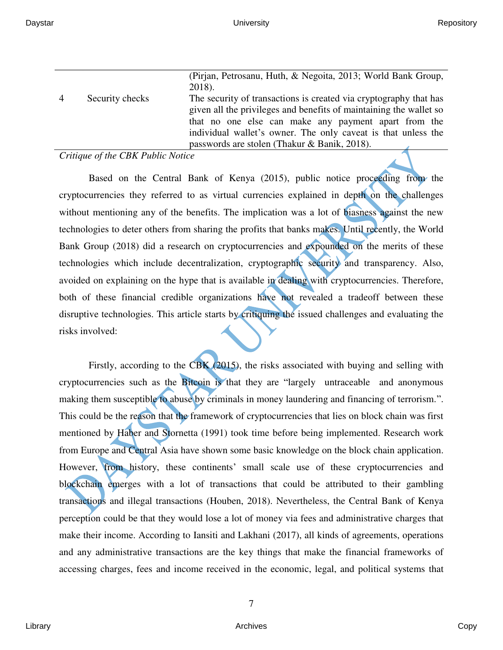|                |                 | (Pirjan, Petrosanu, Huth, & Negoita, 2013; World Bank Group,       |
|----------------|-----------------|--------------------------------------------------------------------|
|                |                 | $2018$ ).                                                          |
| $\overline{4}$ | Security checks | The security of transactions is created via cryptography that has  |
|                |                 | given all the privileges and benefits of maintaining the wallet so |
|                |                 | that no one else can make any payment apart from the               |
|                |                 | individual wallet's owner. The only caveat is that unless the      |
|                |                 | passwords are stolen (Thakur & Banik, 2018).                       |

### *Critique of the CBK Public Notice*

Based on the Central Bank of Kenya (2015), public notice proceeding from the cryptocurrencies they referred to as virtual currencies explained in depth on the challenges without mentioning any of the benefits. The implication was a lot of biasness against the new technologies to deter others from sharing the profits that banks makes. Until recently, the World Bank Group (2018) did a research on cryptocurrencies and expounded on the merits of these technologies which include decentralization, cryptographic security and transparency. Also, avoided on explaining on the hype that is available in dealing with cryptocurrencies. Therefore, both of these financial credible organizations have not revealed a tradeoff between these disruptive technologies. This article starts by critiquing the issued challenges and evaluating the risks involved:

Firstly, according to the CBK (2015), the risks associated with buying and selling with cryptocurrencies such as the Bitcoin is that they are "largely untraceable and anonymous making them susceptible to abuse by criminals in money laundering and financing of terrorism.". This could be the reason that the framework of cryptocurrencies that lies on block chain was first mentioned by Haber and Stornetta (1991) took time before being implemented. Research work from Europe and Central Asia have shown some basic knowledge on the block chain application. However, from history, these continents' small scale use of these cryptocurrencies and blockchain emerges with a lot of transactions that could be attributed to their gambling transactions and illegal transactions (Houben, 2018). Nevertheless, the Central Bank of Kenya perception could be that they would lose a lot of money via fees and administrative charges that make their income. According to Iansiti and Lakhani (2017), all kinds of agreements, operations and any administrative transactions are the key things that make the financial frameworks of accessing charges, fees and income received in the economic, legal, and political systems that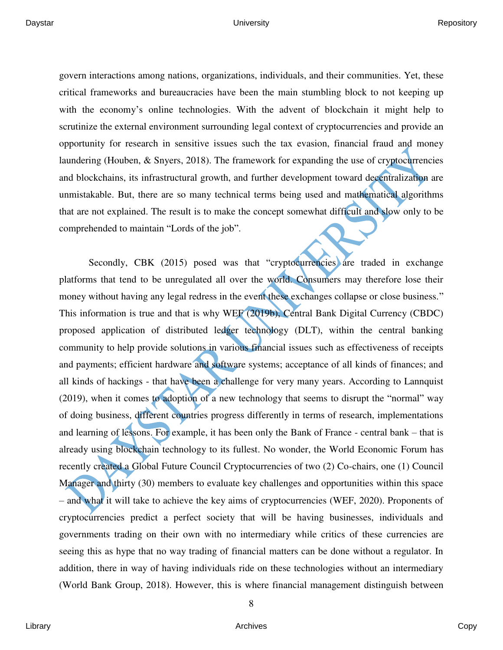govern interactions among nations, organizations, individuals, and their communities. Yet, these critical frameworks and bureaucracies have been the main stumbling block to not keeping up with the economy's online technologies. With the advent of blockchain it might help to scrutinize the external environment surrounding legal context of cryptocurrencies and provide an opportunity for research in sensitive issues such the tax evasion, financial fraud and money laundering (Houben, & Snyers, 2018). The framework for expanding the use of cryptocurrencies and blockchains, its infrastructural growth, and further development toward decentralization are unmistakable. But, there are so many technical terms being used and mathematical algorithms that are not explained. The result is to make the concept somewhat difficult and slow only to be comprehended to maintain "Lords of the job".

Secondly, CBK (2015) posed was that "cryptocurrencies are traded in exchange platforms that tend to be unregulated all over the world. Consumers may therefore lose their money without having any legal redress in the event these exchanges collapse or close business." This information is true and that is why WEF (2019b), Central Bank Digital Currency (CBDC) proposed application of distributed ledger technology (DLT), within the central banking community to help provide solutions in various financial issues such as effectiveness of receipts and payments; efficient hardware and software systems; acceptance of all kinds of finances; and all kinds of hackings - that have been a challenge for very many years. According to Lannquist (2019), when it comes to adoption of a new technology that seems to disrupt the "normal" way of doing business, different countries progress differently in terms of research, implementations and learning of lessons. For example, it has been only the Bank of France - central bank – that is already using blockchain technology to its fullest. No wonder, the World Economic Forum has recently created a Global Future Council Cryptocurrencies of two (2) Co-chairs, one (1) Council Manager and thirty (30) members to evaluate key challenges and opportunities within this space – and what it will take to achieve the key aims of cryptocurrencies (WEF, 2020). Proponents of cryptocurrencies predict a perfect society that will be having businesses, individuals and governments trading on their own with no intermediary while critics of these currencies are seeing this as hype that no way trading of financial matters can be done without a regulator. In addition, there in way of having individuals ride on these technologies without an intermediary (World Bank Group, 2018). However, this is where financial management distinguish between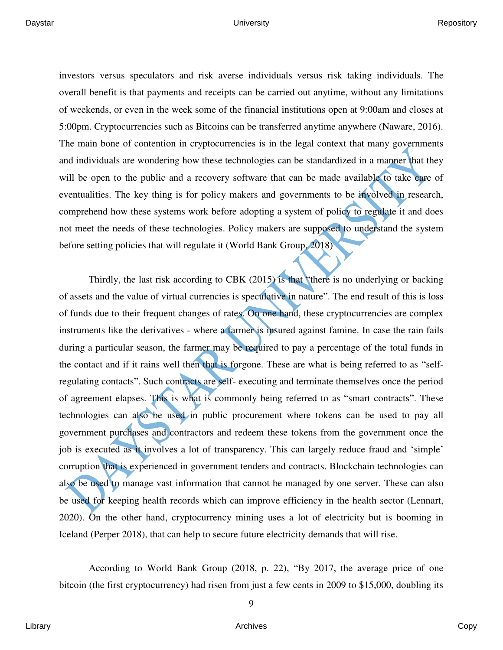investors versus speculators and risk averse individuals versus risk taking individuals. The overall benefit is that payments and receipts can be carried out anytime, without any limitations of weekends, or even in the week some of the financial institutions open at 9:00am and closes at 5:00pm. Cryptocurrencies such as Bitcoins can be transferred anytime anywhere (Naware, 2016). The main bone of contention in cryptocurrencies is in the legal context that many governments and individuals are wondering how these technologies can be standardized in a manner that they will be open to the public and a recovery software that can be made available to take care of eventualities. The key thing is for policy makers and governments to be involved in research, comprehend how these systems work before adopting a system of policy to regulate it and does not meet the needs of these technologies. Policy makers are supposed to understand the system before setting policies that will regulate it (World Bank Group, 2018)

Thirdly, the last risk according to CBK (2015) is that "there is no underlying or backing of assets and the value of virtual currencies is speculative in nature". The end result of this is loss of funds due to their frequent changes of rates. On one hand, these cryptocurrencies are complex instruments like the derivatives - where a farmer is insured against famine. In case the rain fails during a particular season, the farmer may be required to pay a percentage of the total funds in the contact and if it rains well then that is forgone. These are what is being referred to as "selfregulating contacts". Such contracts are self- executing and terminate themselves once the period of agreement elapses. This is what is commonly being referred to as "smart contracts". These technologies can also be used in public procurement where tokens can be used to pay all government purchases and contractors and redeem these tokens from the government once the job is executed as it involves a lot of transparency. This can largely reduce fraud and 'simple' corruption that is experienced in government tenders and contracts. Blockchain technologies can also be used to manage vast information that cannot be managed by one server. These can also be used for keeping health records which can improve efficiency in the health sector (Lennart, 2020). On the other hand, cryptocurrency mining uses a lot of electricity but is booming in Iceland (Perper 2018), that can help to secure future electricity demands that will rise.

According to World Bank Group (2018, p. 22), "By 2017, the average price of one bitcoin (the first cryptocurrency) had risen from just a few cents in 2009 to \$15,000, doubling its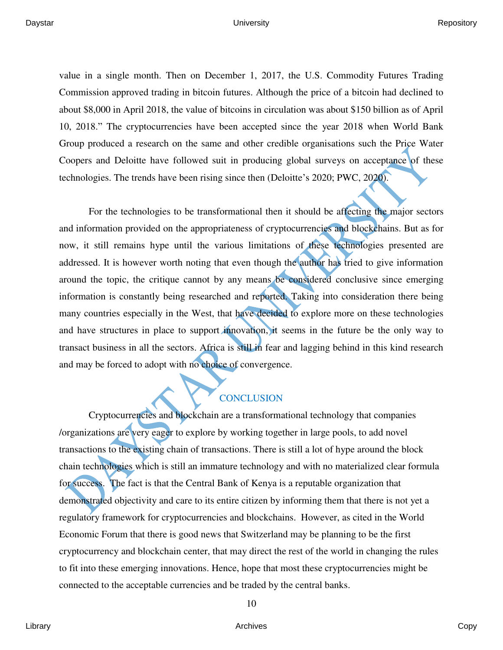value in a single month. Then on December 1, 2017, the U.S. Commodity Futures Trading Commission approved trading in bitcoin futures. Although the price of a bitcoin had declined to about \$8,000 in April 2018, the value of bitcoins in circulation was about \$150 billion as of April 10, 2018." The cryptocurrencies have been accepted since the year 2018 when World Bank Group produced a research on the same and other credible organisations such the Price Water Coopers and Deloitte have followed suit in producing global surveys on acceptance of these technologies. The trends have been rising since then (Deloitte's 2020; PWC, 2020).

For the technologies to be transformational then it should be affecting the major sectors and information provided on the appropriateness of cryptocurrencies and blockchains. But as for now, it still remains hype until the various limitations of these technologies presented are addressed. It is however worth noting that even though the author has tried to give information around the topic, the critique cannot by any means be considered conclusive since emerging information is constantly being researched and reported. Taking into consideration there being many countries especially in the West, that have decided to explore more on these technologies and have structures in place to support innovation, it seems in the future be the only way to transact business in all the sectors. Africa is still in fear and lagging behind in this kind research and may be forced to adopt with no choice of convergence.

## **CONCLUSION**

Cryptocurrencies and blockchain are a transformational technology that companies /organizations are very eager to explore by working together in large pools, to add novel transactions to the existing chain of transactions. There is still a lot of hype around the block chain technologies which is still an immature technology and with no materialized clear formula for success. The fact is that the Central Bank of Kenya is a reputable organization that demonstrated objectivity and care to its entire citizen by informing them that there is not yet a regulatory framework for cryptocurrencies and blockchains. However, as cited in the World Economic Forum that there is good news that Switzerland may be planning to be the first cryptocurrency and blockchain center, that may direct the rest of the world in changing the rules to fit into these emerging innovations. Hence, hope that most these cryptocurrencies might be connected to the acceptable currencies and be traded by the central banks.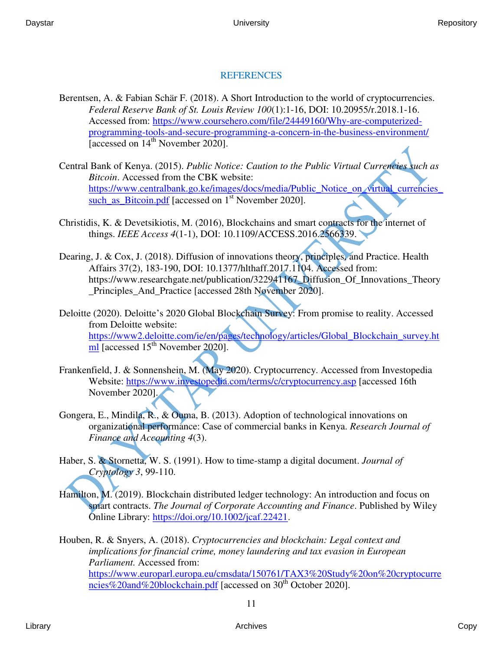## REFERENCES

- Berentsen, A. & Fabian Schär F. (2018). A Short Introduction to the world of cryptocurrencies. *Federal Reserve Bank of St. Louis Review 100*(1):1-16, DOI: 10.20955/r.2018.1-16. Accessed from: [https://www.coursehero.com/file/24449160/Why-are-computerized](https://www.coursehero.com/file/24449160/Why-are-computerized-programming-tools-and-secure-programming-a-concern-in-the-business-environment/)[programming-tools-and-secure-programming-a-concern-in-the-business-environment/](https://www.coursehero.com/file/24449160/Why-are-computerized-programming-tools-and-secure-programming-a-concern-in-the-business-environment/) [accessed on 14<sup>th</sup> November 2020].
- Central Bank of Kenya. (2015). *Public Notice: Caution to the Public Virtual Currencies such as Bitcoin*. Accessed from the CBK website: [https://www.centralbank.go.ke/images/docs/media/Public\\_Notice\\_on\\_virtual\\_currencies\\_](https://www.centralbank.go.ke/images/docs/media/Public_Notice_on_virtual_currencies_such_as_Bitcoin.pdf) such as Bitcoin.pdf [accessed on  $1<sup>st</sup>$  November 2020].
- Christidis, K. & Devetsikiotis, M. (2016), Blockchains and smart contracts for the internet of things. *IEEE Access 4*(1-1), DOI: 10.1109/ACCESS.2016.2566339.
- Dearing, J. & Cox, J. (2018). Diffusion of innovations theory, principles, and Practice. Health Affairs 37(2), 183-190, DOI: 10.1377/hlthaff.2017.1104. Accessed from: https://www.researchgate.net/publication/322941167\_Diffusion\_Of\_Innovations\_Theory \_Principles\_And\_Practice [accessed 28th November 2020].
- Deloitte (2020). Deloitte's 2020 Global Blockchain Survey: From promise to reality. Accessed from Deloitte website: [https://www2.deloitte.com/ie/en/pages/technology/articles/Global\\_Blockchain\\_survey.ht](https://www2.deloitte.com/ie/en/pages/technology/articles/Global_Blockchain_survey.html) [ml](https://www2.deloitte.com/ie/en/pages/technology/articles/Global_Blockchain_survey.html) [accessed 15<sup>th</sup> November 2020].
- Frankenfield, J. & Sonnenshein, M. (May 2020). Cryptocurrency. Accessed from Investopedia Website:<https://www.investopedia.com/terms/c/cryptocurrency.asp>[accessed 16th November 2020].
- Gongera, E., Mindila, R., & Ouma, B. (2013). Adoption of technological innovations on organizational performance: Case of commercial banks in Kenya. *Research Journal of Finance and Accounting 4*(3).
- Haber, S. & Stornetta, W. S. (1991). How to time-stamp a digital document. *Journal of Cryptology 3*, 99-110.
- Hamilton, M. (2019). Blockchain distributed ledger technology: An introduction and focus on smart contracts. *The Journal of Corporate Accounting and Finance*. Published by Wiley Online Library: [https://doi.org/10.1002/jcaf.22421.](https://doi.org/10.1002/jcaf.22421)

Houben, R. & Snyers, A. (2018). *Cryptocurrencies and blockchain: Legal context and implications for financial crime, money laundering and tax evasion in European Parliament.* Accessed from: [https://www.europarl.europa.eu/cmsdata/150761/TAX3%20Study%20on%20cryptocurre](https://www.europarl.europa.eu/cmsdata/150761/TAX3%20Study%20on%20cryptocurrencies%20and%20blockchain.pdf)  $ncies\%20$ and%20blockchain.pdf [accessed on 30<sup>th</sup> October 2020].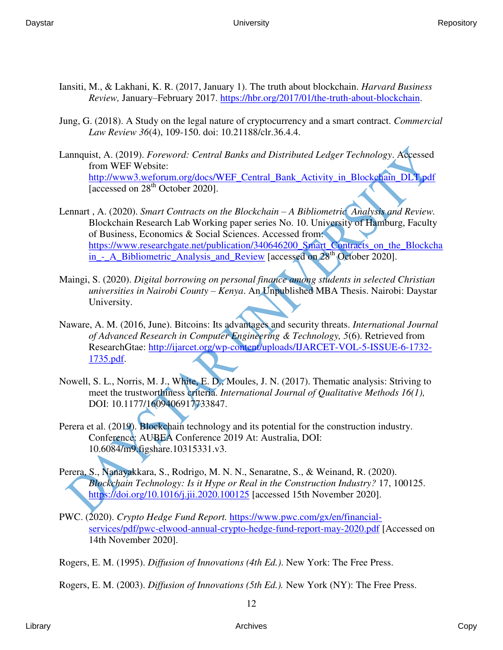- Iansiti, M., & Lakhani, K. R. (2017, January 1). The truth about blockchain. *Harvard Business Review,* January–February 2017. [https://hbr.org/2017/01/the-truth-about-blockchain.](https://hbr.org/2017/01/the-truth-about-blockchain)
- Jung, G. (2018). A Study on the legal nature of cryptocurrency and a smart contract. *Commercial Law Review 36*(4), 109-150. doi: 10.21188/clr.36.4.4.
- Lannquist, A. (2019). *Foreword: Central Banks and Distributed Ledger Technology*. Accessed from WEF Website: http://www3.weforum.org/docs/WEF Central\_Bank\_Activity\_in\_Blockchain\_DLT.pdf [accessed on 28<sup>th</sup> October 2020].
- Lennart , A. (2020). *Smart Contracts on the Blockchain – A Bibliometric Analysis and Review.*  Blockchain Research Lab Working paper series No. 10. University of Hamburg, Faculty of Business, Economics & Social Sciences. Accessed from: [https://www.researchgate.net/publication/340646200\\_Smart\\_Contracts\\_on\\_the\\_Blockcha](https://www.researchgate.net/publication/340646200_Smart_Contracts_on_the_Blockchain_-_A_Bibliometric_Analysis_and_Review) in - A\_Bibliometric\_Analysis\_and\_Review [accessed on 28<sup>th</sup> October 2020].
- Maingi, S. (2020). *Digital borrowing on personal finance among students in selected Christian universities in Nairobi County – Kenya*. An Unpublished MBA Thesis. Nairobi: Daystar University.
- Naware, A. M. (2016, June). Bitcoins: Its advantages and security threats. *International Journal of Advanced Research in Computer Engineering & Technology, 5*(6). Retrieved from ResearchGtae: [http://ijarcet.org/wp-content/uploads/IJARCET-VOL-5-ISSUE-6-1732-](http://ijarcet.org/wp-content/uploads/IJARCET-VOL-5-ISSUE-6-1732-1735.pdf) [1735.pdf.](http://ijarcet.org/wp-content/uploads/IJARCET-VOL-5-ISSUE-6-1732-1735.pdf)
- Nowell, S. L., Norris, M. J., White, E. D., Moules, J. N. (2017). Thematic analysis: Striving to meet the trustworthiness criteria. *International Journal of Qualitative Methods 16(1),* DOI: 10.1177/1609406917733847.
- Perera et al. (2019). Blockchain technology and its potential for the construction industry. Conference: AUBEA Conference 2019 At: Australia, DOI: 10.6084/m9.figshare.10315331.v3.
- Perera, S., Nanayakkara, S., Rodrigo, M. N. N., Senaratne, S., & Weinand, R. (2020). *Blockchain Technology: Is it Hype or Real in the Construction Industry?* 17, 100125. <https://doi.org/10.1016/j.jii.2020.100125> [accessed 15th November 2020].
- PWC. (2020). *Crypto Hedge Fund Report.* [https://www.pwc.com/gx/en/financial](https://www.pwc.com/gx/en/financial-services/pdf/pwc-elwood-annual-crypto-hedge-fund-report-may-2020.pdf)[services/pdf/pwc-elwood-annual-crypto-hedge-fund-report-may-2020.pdf](https://www.pwc.com/gx/en/financial-services/pdf/pwc-elwood-annual-crypto-hedge-fund-report-may-2020.pdf) [Accessed on 14th November 2020].

Rogers, E. M. (1995). *Diffusion of Innovations (4th Ed.)*. New York: The Free Press.

Rogers, E. M. (2003). *Diffusion of Innovations (5th Ed.).* New York (NY): The Free Press.

Library Archives Copy